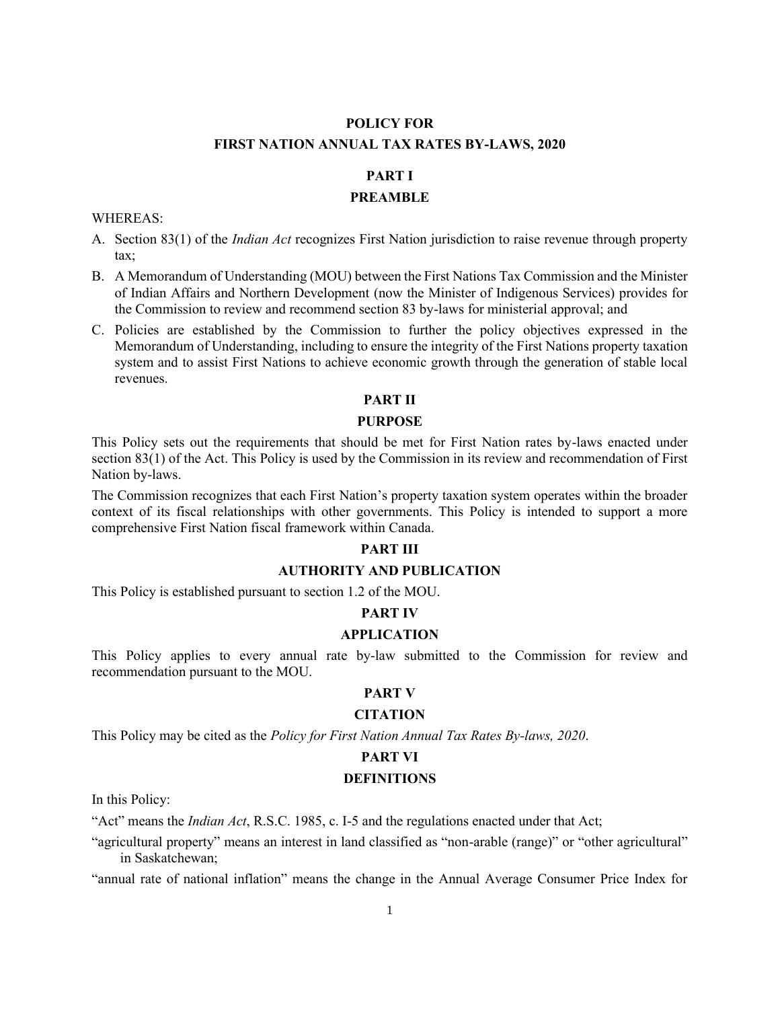# **POLICY FOR FIRST NATION ANNUAL TAX RATES BY-LAWS, 2020**

# **PART I**

#### **PREAMBLE**

#### WHEREAS:

- A. Section 83(1) of the *Indian Act* recognizes First Nation jurisdiction to raise revenue through property tax;
- B. A Memorandum of Understanding (MOU) between the First Nations Tax Commission and the Minister of Indian Affairs and Northern Development (now the Minister of Indigenous Services) provides for the Commission to review and recommend section 83 by-laws for ministerial approval; and
- C. Policies are established by the Commission to further the policy objectives expressed in the Memorandum of Understanding, including to ensure the integrity of the First Nations property taxation system and to assist First Nations to achieve economic growth through the generation of stable local revenues.

#### **PART II**

#### **PURPOSE**

This Policy sets out the requirements that should be met for First Nation rates by-laws enacted under section 83(1) of the Act. This Policy is used by the Commission in its review and recommendation of First Nation by-laws.

The Commission recognizes that each First Nation's property taxation system operates within the broader context of its fiscal relationships with other governments. This Policy is intended to support a more comprehensive First Nation fiscal framework within Canada.

# **PART III**

## **AUTHORITY AND PUBLICATION**

This Policy is established pursuant to section 1.2 of the MOU.

#### **PART IV**

#### **APPLICATION**

This Policy applies to every annual rate by-law submitted to the Commission for review and recommendation pursuant to the MOU.

## **PART V**

#### **CITATION**

This Policy may be cited as the *Policy for First Nation Annual Tax Rates By-laws, 2020*.

#### **PART VI**

#### **DEFINITIONS**

In this Policy:

"Act" means the *Indian Act*, R.S.C. 1985, c. I-5 and the regulations enacted under that Act;

"agricultural property" means an interest in land classified as "non-arable (range)" or "other agricultural" in Saskatchewan;

"annual rate of national inflation" means the change in the Annual Average Consumer Price Index for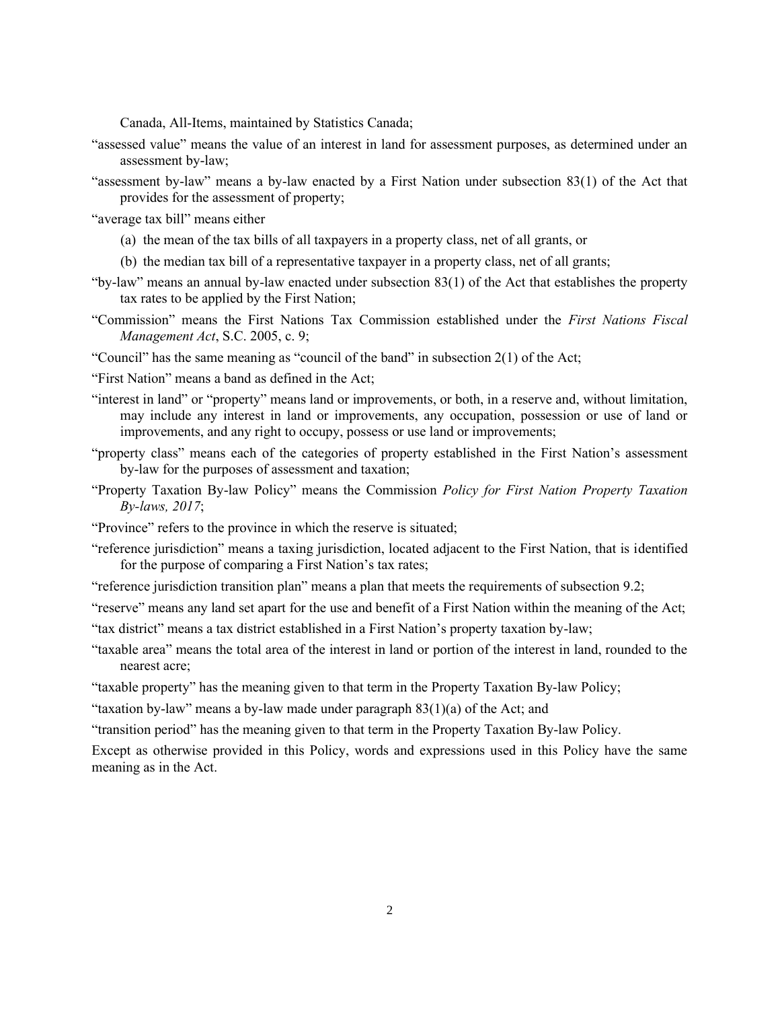Canada, All-Items, maintained by Statistics Canada;

- "assessed value" means the value of an interest in land for assessment purposes, as determined under an assessment by-law;
- "assessment by-law" means a by-law enacted by a First Nation under subsection 83(1) of the Act that provides for the assessment of property;
- "average tax bill" means either
	- (a) the mean of the tax bills of all taxpayers in a property class, net of all grants, or
	- (b) the median tax bill of a representative taxpayer in a property class, net of all grants;
- "by-law" means an annual by-law enacted under subsection 83(1) of the Act that establishes the property tax rates to be applied by the First Nation;
- "Commission" means the First Nations Tax Commission established under the *First Nations Fiscal Management Act*, S.C. 2005, c. 9;
- "Council" has the same meaning as "council of the band" in subsection 2(1) of the Act;
- "First Nation" means a band as defined in the Act;
- "interest in land" or "property" means land or improvements, or both, in a reserve and, without limitation, may include any interest in land or improvements, any occupation, possession or use of land or improvements, and any right to occupy, possess or use land or improvements;
- "property class" means each of the categories of property established in the First Nation's assessment by-law for the purposes of assessment and taxation;
- "Property Taxation By-law Policy" means the Commission *Policy for First Nation Property Taxation By-laws, 2017*;
- "Province" refers to the province in which the reserve is situated;
- "reference jurisdiction" means a taxing jurisdiction, located adjacent to the First Nation, that is identified for the purpose of comparing a First Nation's tax rates;
- "reference jurisdiction transition plan" means a plan that meets the requirements of subsection 9.2;
- "reserve" means any land set apart for the use and benefit of a First Nation within the meaning of the Act;
- "tax district" means a tax district established in a First Nation's property taxation by-law;
- "taxable area" means the total area of the interest in land or portion of the interest in land, rounded to the nearest acre;
- "taxable property" has the meaning given to that term in the Property Taxation By-law Policy;
- "taxation by-law" means a by-law made under paragraph 83(1)(a) of the Act; and
- "transition period" has the meaning given to that term in the Property Taxation By-law Policy.

Except as otherwise provided in this Policy, words and expressions used in this Policy have the same meaning as in the Act.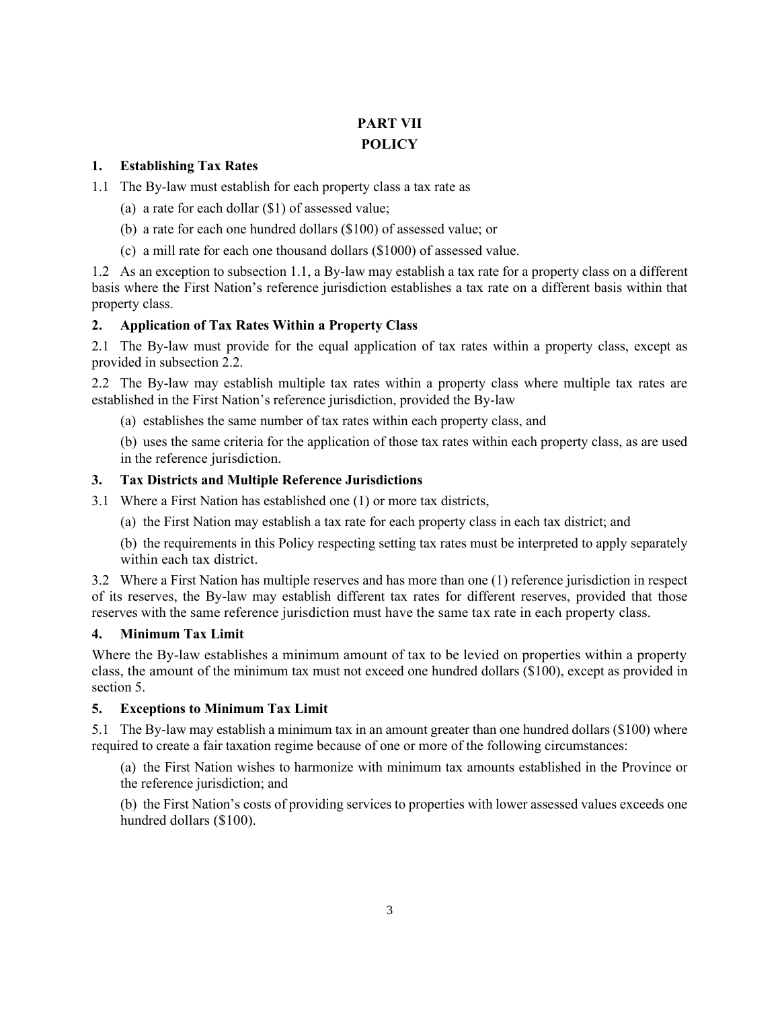# **PART VII POLICY**

## **1. Establishing Tax Rates**

- 1.1 The By-law must establish for each property class a tax rate as
	- (a) a rate for each dollar (\$1) of assessed value;
	- (b) a rate for each one hundred dollars (\$100) of assessed value; or
	- (c) a mill rate for each one thousand dollars (\$1000) of assessed value.

1.2 As an exception to subsection 1.1, a By-law may establish a tax rate for a property class on a different basis where the First Nation's reference jurisdiction establishes a tax rate on a different basis within that property class.

# **2. Application of Tax Rates Within a Property Class**

2.1 The By-law must provide for the equal application of tax rates within a property class, except as provided in subsection 2.2.

2.2 The By-law may establish multiple tax rates within a property class where multiple tax rates are established in the First Nation's reference jurisdiction, provided the By-law

(a) establishes the same number of tax rates within each property class, and

(b) uses the same criteria for the application of those tax rates within each property class, as are used in the reference jurisdiction.

### **3. Tax Districts and Multiple Reference Jurisdictions**

- 3.1 Where a First Nation has established one (1) or more tax districts,
	- (a) the First Nation may establish a tax rate for each property class in each tax district; and

(b) the requirements in this Policy respecting setting tax rates must be interpreted to apply separately within each tax district.

3.2 Where a First Nation has multiple reserves and has more than one (1) reference jurisdiction in respect of its reserves, the By-law may establish different tax rates for different reserves, provided that those reserves with the same reference jurisdiction must have the same tax rate in each property class.

#### **4. Minimum Tax Limit**

Where the By-law establishes a minimum amount of tax to be levied on properties within a property class, the amount of the minimum tax must not exceed one hundred dollars (\$100), except as provided in section 5.

# **5. Exceptions to Minimum Tax Limit**

5.1 The By-law may establish a minimum tax in an amount greater than one hundred dollars (\$100) where required to create a fair taxation regime because of one or more of the following circumstances:

(a) the First Nation wishes to harmonize with minimum tax amounts established in the Province or the reference jurisdiction; and

(b) the First Nation's costs of providing services to properties with lower assessed values exceeds one hundred dollars (\$100).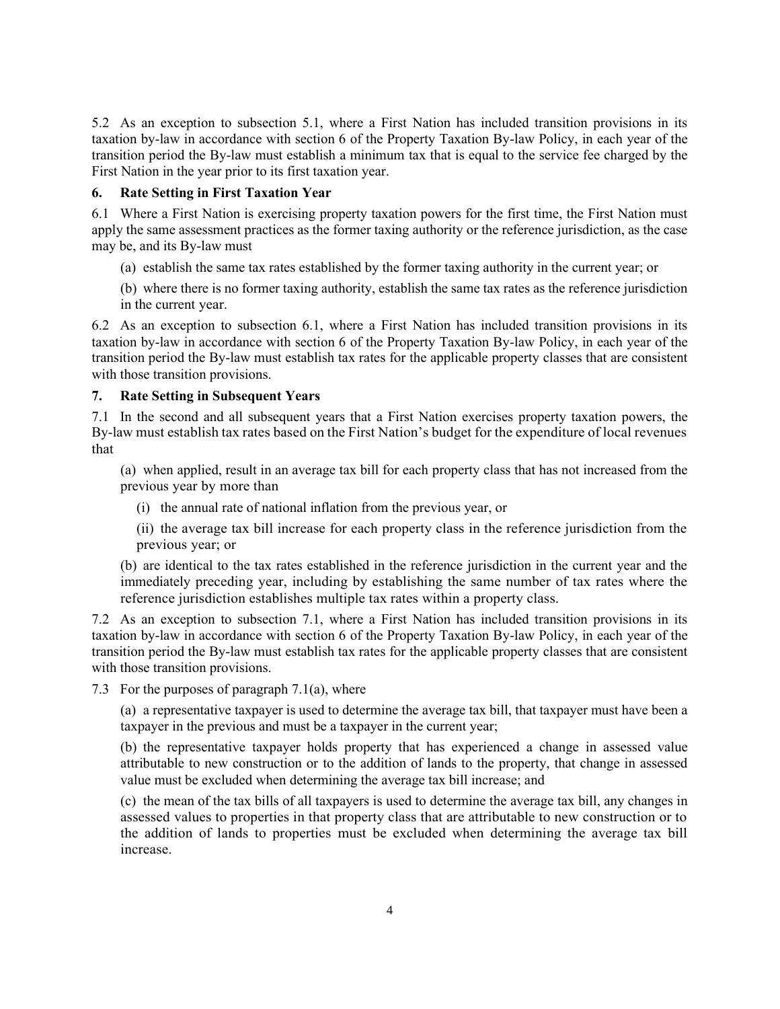5.2 As an exception to subsection 5.1, where a First Nation has included transition provisions in its taxation by-law in accordance with section 6 of the Property Taxation By-law Policy, in each year of the transition period the By-law must establish a minimum tax that is equal to the service fee charged by the First Nation in the year prior to its first taxation year.

## **6. Rate Setting in First Taxation Year**

6.1 Where a First Nation is exercising property taxation powers for the first time, the First Nation must apply the same assessment practices as the former taxing authority or the reference jurisdiction, as the case may be, and its By-law must

- (a) establish the same tax rates established by the former taxing authority in the current year; or
- (b) where there is no former taxing authority, establish the same tax rates as the reference jurisdiction in the current year.

6.2 As an exception to subsection 6.1, where a First Nation has included transition provisions in its taxation by-law in accordance with section 6 of the Property Taxation By-law Policy, in each year of the transition period the By-law must establish tax rates for the applicable property classes that are consistent with those transition provisions.

#### **7. Rate Setting in Subsequent Years**

7.1 In the second and all subsequent years that a First Nation exercises property taxation powers, the By-law must establish tax rates based on the First Nation's budget for the expenditure of local revenues that

(a) when applied, result in an average tax bill for each property class that has not increased from the previous year by more than

(i) the annual rate of national inflation from the previous year, or

(ii) the average tax bill increase for each property class in the reference jurisdiction from the previous year; or

(b) are identical to the tax rates established in the reference jurisdiction in the current year and the immediately preceding year, including by establishing the same number of tax rates where the reference jurisdiction establishes multiple tax rates within a property class.

7.2 As an exception to subsection 7.1, where a First Nation has included transition provisions in its taxation by-law in accordance with section 6 of the Property Taxation By-law Policy, in each year of the transition period the By-law must establish tax rates for the applicable property classes that are consistent with those transition provisions.

7.3 For the purposes of paragraph 7.1(a), where

(a) a representative taxpayer is used to determine the average tax bill, that taxpayer must have been a taxpayer in the previous and must be a taxpayer in the current year;

(b) the representative taxpayer holds property that has experienced a change in assessed value attributable to new construction or to the addition of lands to the property, that change in assessed value must be excluded when determining the average tax bill increase; and

(c) the mean of the tax bills of all taxpayers is used to determine the average tax bill, any changes in assessed values to properties in that property class that are attributable to new construction or to the addition of lands to properties must be excluded when determining the average tax bill increase.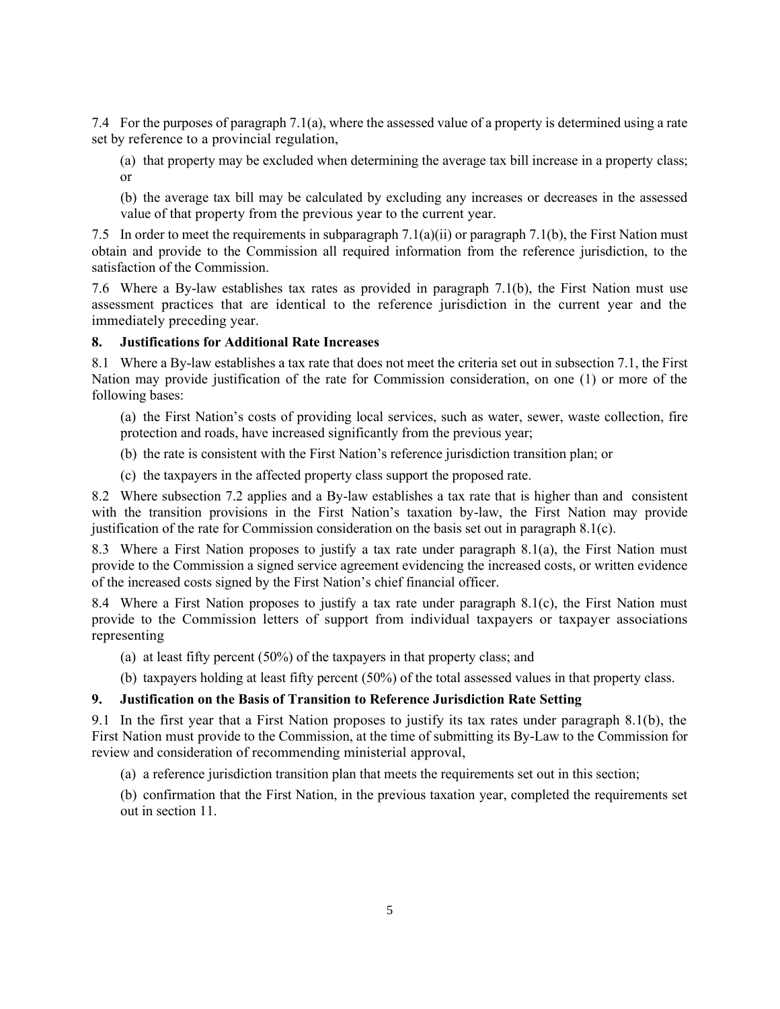7.4 For the purposes of paragraph 7.1(a), where the assessed value of a property is determined using a rate set by reference to a provincial regulation,

(a) that property may be excluded when determining the average tax bill increase in a property class; or

(b) the average tax bill may be calculated by excluding any increases or decreases in the assessed value of that property from the previous year to the current year.

7.5 In order to meet the requirements in subparagraph 7.1(a)(ii) or paragraph 7.1(b), the First Nation must obtain and provide to the Commission all required information from the reference jurisdiction, to the satisfaction of the Commission.

7.6 Where a By-law establishes tax rates as provided in paragraph 7.1(b), the First Nation must use assessment practices that are identical to the reference jurisdiction in the current year and the immediately preceding year.

#### **8. Justifications for Additional Rate Increases**

8.1 Where a By-law establishes a tax rate that does not meet the criteria set out in subsection 7.1, the First Nation may provide justification of the rate for Commission consideration, on one (1) or more of the following bases:

(a) the First Nation's costs of providing local services, such as water, sewer, waste collection, fire protection and roads, have increased significantly from the previous year;

- (b) the rate is consistent with the First Nation's reference jurisdiction transition plan; or
- (c) the taxpayers in the affected property class support the proposed rate.

8.2 Where subsection 7.2 applies and a By-law establishes a tax rate that is higher than and consistent with the transition provisions in the First Nation's taxation by-law, the First Nation may provide justification of the rate for Commission consideration on the basis set out in paragraph 8.1(c).

8.3 Where a First Nation proposes to justify a tax rate under paragraph 8.1(a), the First Nation must provide to the Commission a signed service agreement evidencing the increased costs, or written evidence of the increased costs signed by the First Nation's chief financial officer.

8.4 Where a First Nation proposes to justify a tax rate under paragraph 8.1(c), the First Nation must provide to the Commission letters of support from individual taxpayers or taxpayer associations representing

(a) at least fifty percent (50%) of the taxpayers in that property class; and

(b) taxpayers holding at least fifty percent (50%) of the total assessed values in that property class.

# **9. Justification on the Basis of Transition to Reference Jurisdiction Rate Setting**

9.1 In the first year that a First Nation proposes to justify its tax rates under paragraph 8.1(b), the First Nation must provide to the Commission, at the time of submitting its By-Law to the Commission for review and consideration of recommending ministerial approval,

(a) a reference jurisdiction transition plan that meets the requirements set out in this section;

(b) confirmation that the First Nation, in the previous taxation year, completed the requirements set out in section 11.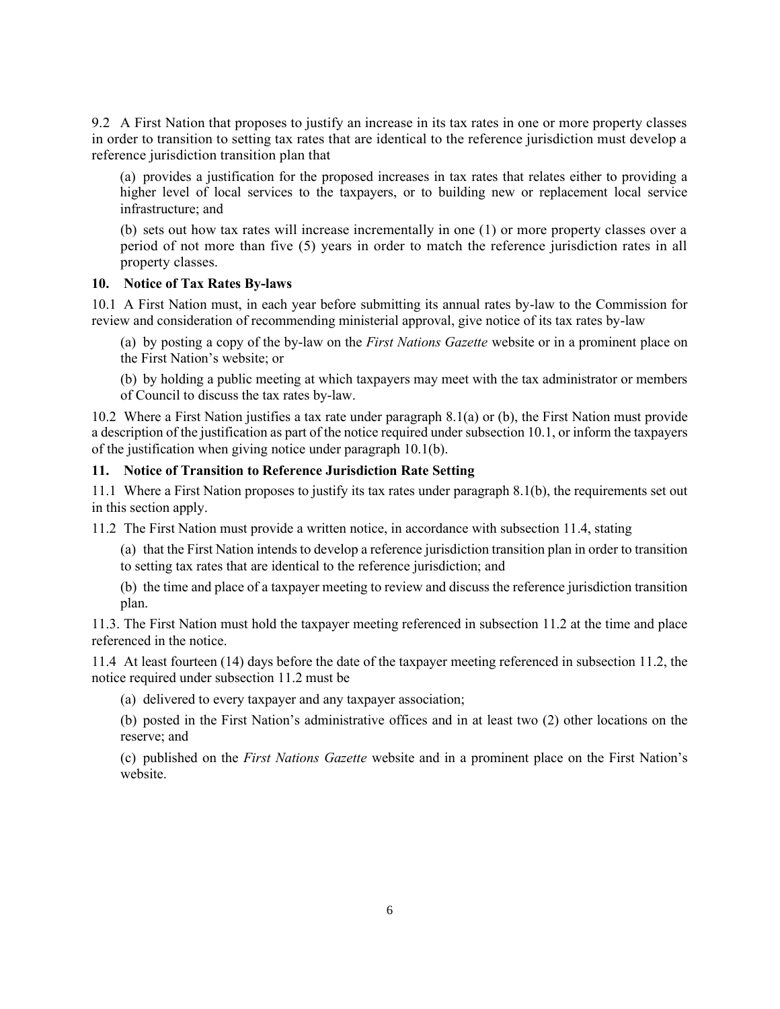9.2 A First Nation that proposes to justify an increase in its tax rates in one or more property classes in order to transition to setting tax rates that are identical to the reference jurisdiction must develop a reference jurisdiction transition plan that

(a) provides a justification for the proposed increases in tax rates that relates either to providing a higher level of local services to the taxpayers, or to building new or replacement local service infrastructure; and

(b) sets out how tax rates will increase incrementally in one (1) or more property classes over a period of not more than five (5) years in order to match the reference jurisdiction rates in all property classes.

#### **10. Notice of Tax Rates By-laws**

10.1 A First Nation must, in each year before submitting its annual rates by-law to the Commission for review and consideration of recommending ministerial approval, give notice of its tax rates by-law

(a) by posting a copy of the by-law on the *First Nations Gazette* website or in a prominent place on the First Nation's website; or

(b) by holding a public meeting at which taxpayers may meet with the tax administrator or members of Council to discuss the tax rates by-law.

10.2 Where a First Nation justifies a tax rate under paragraph 8.1(a) or (b), the First Nation must provide a description of the justification as part of the notice required under subsection 10.1, or inform the taxpayers of the justification when giving notice under paragraph 10.1(b).

# **11. Notice of Transition to Reference Jurisdiction Rate Setting**

11.1 Where a First Nation proposes to justify its tax rates under paragraph 8.1(b), the requirements set out in this section apply.

11.2 The First Nation must provide a written notice, in accordance with subsection 11.4, stating

(a) that the First Nation intends to develop a reference jurisdiction transition plan in order to transition to setting tax rates that are identical to the reference jurisdiction; and

(b) the time and place of a taxpayer meeting to review and discuss the reference jurisdiction transition plan.

11.3. The First Nation must hold the taxpayer meeting referenced in subsection 11.2 at the time and place referenced in the notice.

11.4 At least fourteen (14) days before the date of the taxpayer meeting referenced in subsection 11.2, the notice required under subsection 11.2 must be

(a) delivered to every taxpayer and any taxpayer association;

(b) posted in the First Nation's administrative offices and in at least two (2) other locations on the reserve; and

(c) published on the *First Nations Gazette* website and in a prominent place on the First Nation's website.